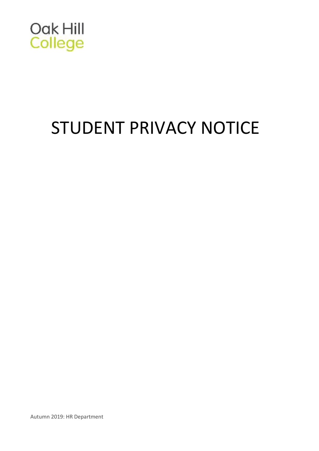

# STUDENT PRIVACY NOTICE

Autumn 2019: HR Department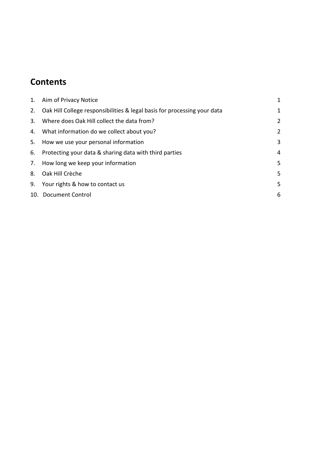# **Contents**

|    | 1. Aim of Privacy Notice                                                    | $\mathbf{1}$   |
|----|-----------------------------------------------------------------------------|----------------|
|    | 2. Oak Hill College responsibilities & legal basis for processing your data | $\mathbf{1}$   |
| 3. | Where does Oak Hill collect the data from?                                  | $\overline{2}$ |
|    | 4. What information do we collect about you?                                | $\overline{2}$ |
|    | 5. How we use your personal information                                     | 3              |
|    | 6. Protecting your data & sharing data with third parties                   | $\overline{4}$ |
|    | 7. How long we keep your information                                        | 5              |
|    | 8. Oak Hill Crèche                                                          | 5              |
|    | 9. Your rights & how to contact us                                          | 5              |
|    | 10. Document Control                                                        | 6              |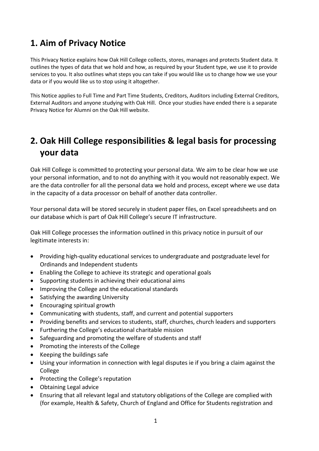## <span id="page-2-0"></span>**1. Aim of Privacy Notice**

This Privacy Notice explains how Oak Hill College collects, stores, manages and protects Student data. It outlines the types of data that we hold and how, as required by your Student type, we use it to provide services to you. It also outlines what steps you can take if you would like us to change how we use your data or if you would like us to stop using it altogether.

This Notice applies to Full Time and Part Time Students, Creditors, Auditors including External Creditors, External Auditors and anyone studying with Oak Hill. Once your studies have ended there is a separate Privacy Notice for Alumni on the Oak Hill website.

# <span id="page-2-1"></span>**2. Oak Hill College responsibilities & legal basis for processing your data**

Oak Hill College is committed to protecting your personal data. We aim to be clear how we use your personal information, and to not do anything with it you would not reasonably expect. We are the data controller for all the personal data we hold and process, except where we use data in the capacity of a data processor on behalf of another data controller.

Your personal data will be stored securely in student paper files, on Excel spreadsheets and on our database which is part of Oak Hill College's secure IT infrastructure.

Oak Hill College processes the information outlined in this privacy notice in pursuit of our legitimate interests in:

- Providing high-quality educational services to undergraduate and postgraduate level for Ordinands and Independent students
- Enabling the College to achieve its strategic and operational goals
- Supporting students in achieving their educational aims
- Improving the College and the educational standards
- Satisfying the awarding University
- Encouraging spiritual growth
- Communicating with students, staff, and current and potential supporters
- Providing benefits and services to students, staff, churches, church leaders and supporters
- Furthering the College's educational charitable mission
- Safeguarding and promoting the welfare of students and staff
- Promoting the interests of the College
- Keeping the buildings safe
- Using your information in connection with legal disputes ie if you bring a claim against the College
- Protecting the College's reputation
- Obtaining Legal advice
- Ensuring that all relevant legal and statutory obligations of the College are complied with (for example, Health & Safety, Church of England and Office for Students registration and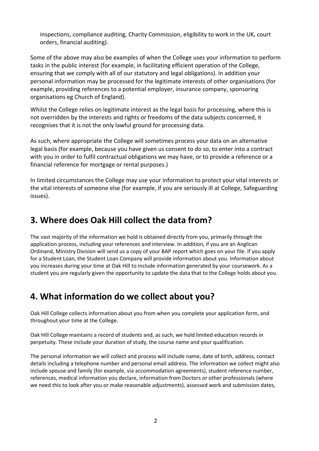inspections, compliance auditing, Charity Commission, eligibility to work in the UK, court orders, financial auditing).

Some of the above may also be examples of when the College uses your information to perform tasks in the public interest (for example, in facilitating efficient operation of the College, ensuring that we comply with all of our statutory and legal obligations). In addition your personal information may be processed for the legitimate interests of other organisations (for example, providing references to a potential employer, insurance company, sponsoring organisations eg Church of England).

Whilst the College relies on legitimate interest as the legal basis for processing, where this is not overridden by the interests and rights or freedoms of the data subjects concerned, it recognises that it is not the only lawful ground for processing data.

As such, where appropriate the College will sometimes process your data on an alternative legal basis (for example, because you have given us consent to do so, to enter into a contract with you in order to fulfil contractual obligations we may have, or to provide a reference or a financial reference for mortgage or rental purposes.)

In limited circumstances the College may use your information to protect your vital interests or the vital interests of someone else (for example, if you are seriously ill at College, Safeguarding issues).

#### <span id="page-3-0"></span>**3. Where does Oak Hill collect the data from?**

The vast majority of the information we hold is obtained directly from you, primarily through the application process, including your references and interview. In addition, if you are an Anglican Ordinand, Ministry Division will send us a copy of your BAP report which goes on your file. If you apply for a Student Loan, the Student Loan Company will provide information about you. Information about you increases during your time at Oak Hill to include information generated by your coursework. As a student you are regularly given the opportunity to update the data that to the College holds about you.

#### <span id="page-3-1"></span>**4. What information do we collect about you?**

Oak Hill College collects information about you from when you complete your application form, and throughout your time at the College.

Oak Hill College maintains a record of students and, as such, we hold limited education records in perpetuity. These include your duration of study, the course name and your qualification.

The personal information we will collect and process will include name, date of birth, address, contact details including a telephone number and personal email address. The information we collect might also include spouse and family (for example, via accommodation agreements), student reference number, references, medical information you declare, information from Doctors or other professionals (where we need this to look after you or make reasonable adjustments), assessed work and submission dates,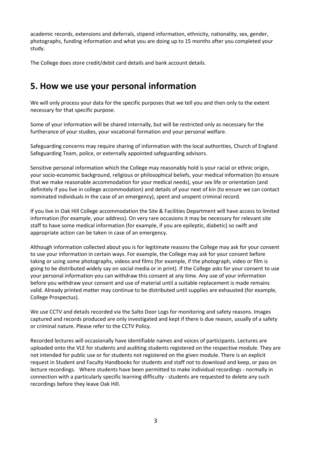academic records, extensions and deferrals, stipend information, ethnicity, nationality, sex, gender, photographs, funding information and what you are doing up to 15 months after you completed your study.

The College does store credit/debit card details and bank account details.

#### <span id="page-4-0"></span>**5. How we use your personal information**

We will only process your data for the specific purposes that we tell you and then only to the extent necessary for that specific purpose.

Some of your information will be shared internally, but will be restricted only as necessary for the furtherance of your studies, your vocational formation and your personal welfare.

Safeguarding concerns may require sharing of information with the local authorities, Church of England Safeguarding Team, police, or externally appointed safeguarding advisors.

Sensitive personal information which the College may reasonably hold is your racial or ethnic origin, your socio-economic background, religious or philosophical beliefs, your medical information (to ensure that we make reasonable accommodation for your medical needs), your sex life or orientation (and definitely if you live in college accommodation) and details of your next of kin (to ensure we can contact nominated individuals in the case of an emergency), spent and unspent criminal record.

If you live in Oak Hill College accommodation the Site & Facilities Department will have access to limited information (for example, your address). On very rare occasions it may be necessary for relevant site staff to have some medical information (for example, if you are epileptic, diabetic) so swift and appropriate action can be taken in case of an emergency.

Although information collected about you is for legitimate reasons the College may ask for your consent to use your information in certain ways. For example, the College may ask for your consent before taking or using some photographs, videos and films (for example, if the photograph, video or film is going to be distributed widely say on social media or in print). If the College asks for your consent to use your personal information you can withdraw this consent at any time. Any use of your information before you withdraw your consent and use of material until a suitable replacement is made remains valid. Already printed matter may continue to be distributed until supplies are exhausted (for example, College Prospectus).

We use CCTV and details recorded via the Salto Door Logs for monitoring and safety reasons. Images captured and records produced are only investigated and kept if there is due reason, usually of a safety or criminal nature. Please refer to the CCTV Policy.

Recorded lectures will occasionally have identifiable names and voices of participants. Lectures are uploaded onto the VLE for students and auditing students registered on the respective module. They are not intended for public use or for students not registered on the given module. There is an explicit request in Student and Faculty Handbooks for students and staff not to download and keep, or pass on lecture recordings. Where students have been permitted to make individual recordings - normally in connection with a particularly specific learning difficulty - students are requested to delete any such recordings before they leave Oak Hill.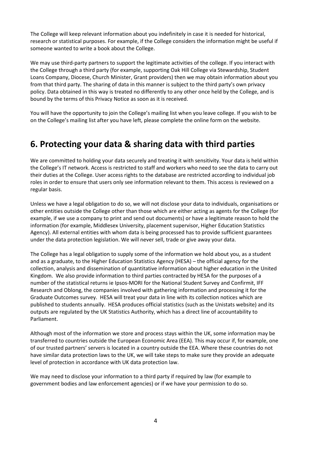The College will keep relevant information about you indefinitely in case it is needed for historical, research or statistical purposes. For example, if the College considers the information might be useful if someone wanted to write a book about the College.

We may use third-party partners to support the legitimate activities of the college. If you interact with the College through a third party (for example, supporting Oak Hill College via Stewardship, Student Loans Company, Diocese, Church Minister, Grant providers) then we may obtain information about you from that third party. The sharing of data in this manner is subject to the third party's own privacy policy. Data obtained in this way is treated no differently to any other once held by the College, and is bound by the terms of this Privacy Notice as soon as it is received.

You will have the opportunity to join the College's mailing list when you leave college. If you wish to be on the College's mailing list after you have left, please complete the online form on the website.

#### <span id="page-5-0"></span>**6. Protecting your data & sharing data with third parties**

We are committed to holding your data securely and treating it with sensitivity. Your data is held within the College's IT network. Access is restricted to staff and workers who need to see the data to carry out their duties at the College. User access rights to the database are restricted according to individual job roles in order to ensure that users only see information relevant to them. This access is reviewed on a regular basis.

Unless we have a legal obligation to do so, we will not disclose your data to individuals, organisations or other entities outside the College other than those which are either acting as agents for the College (for example, if we use a company to print and send out documents) or have a legitimate reason to hold the information (for example, Middlesex University, placement supervisor, Higher Education Statistics Agency). All external entities with whom data is being processed has to provide sufficient guarantees under the data protection legislation. We will never sell, trade or give away your data.

The College has a legal obligation to supply some of the information we hold about you, as a student and as a graduate, to the Higher Education Statistics Agency (HESA) – the official agency for the collection, analysis and dissemination of quantitative information about higher education in the United Kingdom. We also provide information to third parties contracted by HESA for the purposes of a number of the statistical returns ie Ipsos-MORI for the National Student Survey and Confirmit, IFF Research and Oblong, the companies involved with gathering information and processing it for the Graduate Outcomes survey. HESA will treat your data in line with its collection notices which are published to students annually. HESA produces official statistics (such as the Unistats website) and its outputs are regulated by the UK Statistics Authority, which has a direct line of accountability to Parliament.

Although most of the information we store and process stays within the UK, some information may be transferred to countries outside the European Economic Area (EEA). This may occur if, for example, one of our trusted partners' servers is located in a country outside the EEA. Where these countries do not have similar data protection laws to the UK, we will take steps to make sure they provide an adequate level of protection in accordance with UK data protection law.

We may need to disclose your information to a third party if required by law (for example to government bodies and law enforcement agencies) or if we have your permission to do so.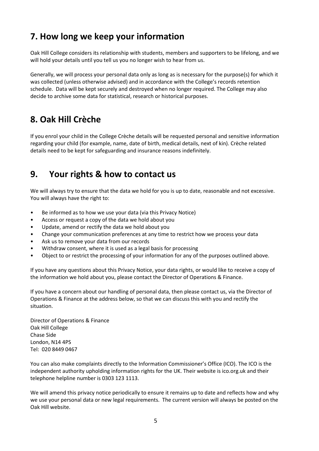# <span id="page-6-0"></span>**7. How long we keep your information**

Oak Hill College considers its relationship with students, members and supporters to be lifelong, and we will hold your details until you tell us you no longer wish to hear from us.

Generally, we will process your personal data only as long as is necessary for the purpose(s) for which it was collected (unless otherwise advised) and in accordance with the College's records retention schedule. Data will be kept securely and destroyed when no longer required. The College may also decide to archive some data for statistical, research or historical purposes.

# <span id="page-6-1"></span>**8. Oak Hill Crèche**

If you enrol your child in the College Crèche details will be requested personal and sensitive information regarding your child (for example, name, date of birth, medical details, next of kin). Crèche related details need to be kept for safeguarding and insurance reasons indefinitely.

## <span id="page-6-2"></span>**9. Your rights & how to contact us**

We will always try to ensure that the data we hold for you is up to date, reasonable and not excessive. You will always have the right to:

- Be informed as to how we use your data (via this Privacy Notice)
- Access or request a copy of the data we hold about you
- Update, amend or rectify the data we hold about you
- Change your communication preferences at any time to restrict how we process your data
- Ask us to remove your data from our records
- Withdraw consent, where it is used as a legal basis for processing
- Object to or restrict the processing of your information for any of the purposes outlined above.

If you have any questions about this Privacy Notice, your data rights, or would like to receive a copy of the information we hold about you, please contact the Director of Operations & Finance.

If you have a concern about our handling of personal data, then please contact us, via the Director of Operations & Finance at the address below, so that we can discuss this with you and rectify the situation.

Director of Operations & Finance Oak Hill College Chase Side London, N14 4PS Tel: 020 8449 0467

You can also make complaints directly to the Information Commissioner's Office (ICO). The ICO is the independent authority upholding information rights for the UK. Their website is ico.org.uk and their telephone helpline number is 0303 123 1113.

We will amend this privacy notice periodically to ensure it remains up to date and reflects how and why we use your personal data or new legal requirements. The current version will always be posted on the Oak Hill website.